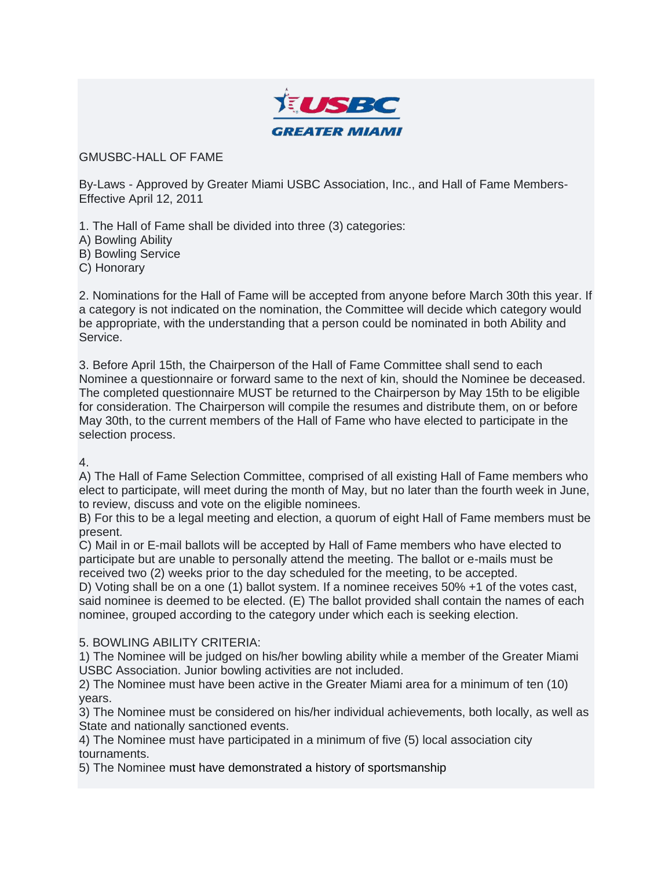

GMUSBC-HALL OF FAME

By-Laws - Approved by Greater Miami USBC Association, Inc., and Hall of Fame Members-Effective April 12, 2011

1. The Hall of Fame shall be divided into three (3) categories:

A) Bowling Ability

B) Bowling Service

C) Honorary

2. Nominations for the Hall of Fame will be accepted from anyone before March 30th this year. If a category is not indicated on the nomination, the Committee will decide which category would be appropriate, with the understanding that a person could be nominated in both Ability and Service.

3. Before April 15th, the Chairperson of the Hall of Fame Committee shall send to each Nominee a questionnaire or forward same to the next of kin, should the Nominee be deceased. The completed questionnaire MUST be returned to the Chairperson by May 15th to be eligible for consideration. The Chairperson will compile the resumes and distribute them, on or before May 30th, to the current members of the Hall of Fame who have elected to participate in the selection process.

4.

A) The Hall of Fame Selection Committee, comprised of all existing Hall of Fame members who elect to participate, will meet during the month of May, but no later than the fourth week in June, to review, discuss and vote on the eligible nominees.

B) For this to be a legal meeting and election, a quorum of eight Hall of Fame members must be present.

C) Mail in or E-mail ballots will be accepted by Hall of Fame members who have elected to participate but are unable to personally attend the meeting. The ballot or e-mails must be received two (2) weeks prior to the day scheduled for the meeting, to be accepted.

D) Voting shall be on a one (1) ballot system. If a nominee receives 50% +1 of the votes cast, said nominee is deemed to be elected. (E) The ballot provided shall contain the names of each nominee, grouped according to the category under which each is seeking election.

## 5. BOWLING ABILITY CRITERIA:

1) The Nominee will be judged on his/her bowling ability while a member of the Greater Miami USBC Association. Junior bowling activities are not included.

2) The Nominee must have been active in the Greater Miami area for a minimum of ten (10) years.

3) The Nominee must be considered on his/her individual achievements, both locally, as well as State and nationally sanctioned events.

4) The Nominee must have participated in a minimum of five (5) local association city tournaments.

5) The Nominee must have demonstrated a history of sportsmanship